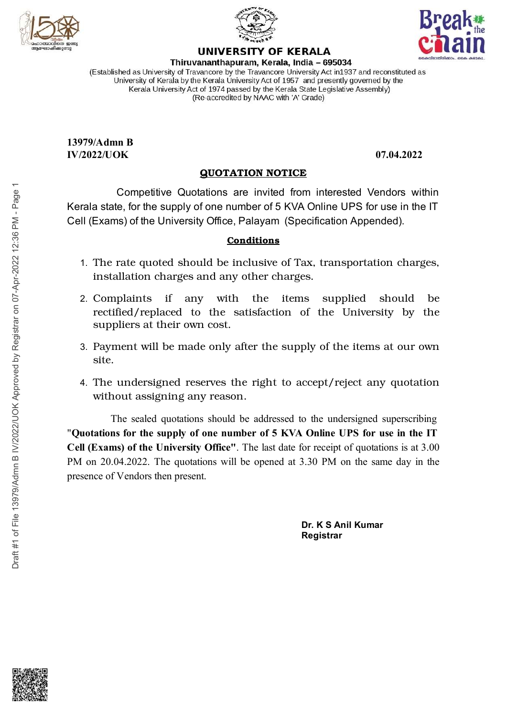





13979/Admn B  $IV/2022/IJOK$  0.04.2022

## <u>QUOTATION NOTICE</u>

Competitive Quotations are invited from interested Vendors within UNIVERSITY OF KERALA<br>
Thinuvananthapuram, Kerala, India – 695034<br>
das University of Tavancore by the Tavancore University Act in 1937 and reconstituted as<br>
the substitute of 1974 passed by the Kerala State Legislative Asse UNIVERSITY OF KERALA<br>
Travancore by the Travancore University Act in1937 and reconstituted as<br>
Travancore by the Travancore University Act in1937 and reconstituted as<br>  $\frac{1}{2}$  All The Kerala University (and the SFT and Kerala state, for the supply of one number of 5 KVA Online UPS for use in the IT Cell (Exams) of the University Office, Palayam (Specification Appended). (Re-accredited by NAAC with 'A' Grade)<br> **EXECUTE:**<br>
Competitive Quotations are invited from interested Vendors within<br>
tate, for the supply of one number of 5 KVA Online UPS for use in the IT<br>
tate, for the supply of one n 07.04.2022<br>
07.04.2022<br>
107.04.2022<br>
107.04.2022<br>
107.04.2022<br>
107.04.2022<br>
107.04.2022<br>
107.04.2022<br>
107.04.2022<br>
107.04.2022<br>
107.04.2022<br>
107.04.2022<br>
107.04.2022<br>
107.04.2022<br>
107.04.2022<br>
107.04.2023<br>
108.04.107.04.10 (Admn B<br>
22/UOK<br>
22/UOK<br>
22/UOK<br>
22/UOK<br>
Competitive Quotations are invited from interested Vendors within<br>
a state, for the supply of one number of 5 KVA Online UPS for use in the IT<br>
Exams) of the University Office, Pala **97.04.2022**<br> **97.04.2022**<br> **ations are invited from interested Vendors within**<br>
fone number of 5 KVA Online UPS for use in the IT<br>
y Office, Palayam (Specification Appended).<br> **Conditions**<br>
and the inclusive of Tax, tran  $07.04.2022$ <br>
TICE<br>
from interested Vendors within<br>
KVA Online UPS for use in the IT<br>
(Specification Appended).<br>
of Tax, transportation charges,<br>
arges.<br>
tems supplied should be<br>
n of the University by the<br>
supply of the  $07.04.2022$ <br>
i<br>
m interested Vendors within<br>
Online UPS for use in the IT<br>
cification Appended).<br>
x, transportation charges,<br>
s.<br>
s supplied should be<br>
f the University by the<br>
ly of the items at our own<br>
crent/reject an 07.04.2022<br>
erested Vendors within<br>
ne UPS for use in the IT<br>
ansportation charges,<br>
ansportation charges,<br>
upplied should be<br>
e University by the<br>
if the items at our own<br>
/reject any quotation

## **Conditions**

- 1. The rate quoted should be inclusive of Tax, transportation charges, installation charges and any other charges.
- 2. Complaints if any with the items supplied should be should uld be and the set of the set of the set of the set of the set of the set of the set of the set of the set of the set of the set of the set of the set of the set of the set of the set of the set of the set of the set of th rectified/replaced to the satisfaction of the University by the  $e \sim$ suppliers at their own cost.
- 3. Payment will be made only after the supply of the items at our o wn war a brending a brending a brending a brending a brending a brending a brending a brending a brending a br site.
- 4. The undersigned reserves the right to accept/reject any quotatio n and a structure of the structure of the structure of the structure of the structure of the structure of the <br>The structure of the structure of the structure of the structure of the structure of the structure of the struc without assigning any reason.

 $\begin{array}{c}\n\bullet \\
\bullet \\
\bullet \\
\bullet \\
\bullet\n\end{array}$  Competitive<br>
Kerala state, for the sup<br>
Cell (Exams) of the Uni<br>
1. The rate quoted<br>
installation cha<br>
2. Complaints if<br>
rectified/replace<br>
suppliers at the<br>
3. Payment will be<br>
site.<br>
4. Th Competitive Quotations are invited from interested Vendors within<br>tate, for the supply of one number of 5 KVA Online UPS for use in the IT<br>ams) of the University Office, Palayam (Specification Appended).<br>**Conditions**<br>e ra invited from interested Vendors within<br>the of 5 KVA Online UPS for use in the IT<br>Palayam (Specification Appended).<br>**aditions**<br>clusive of Tax, transportation charges,<br>the items supplied should be<br>turestistication of the Uni Figures<br>
Example of from interested Vendors within<br>
5 KVA Online UPS for use in the IT<br>
m (Specification Appended).<br> **us**<br>
e of Tax, transportation charges,<br>
charges.<br>
items supplied should be<br>
tion of the University by th The UPS for use in the IT<br>Specification Appended).<br>Tax, transportation charges,<br>rges.<br>Tax, transportation charges,<br>rges.<br>In supplied should be of the University by the<br>upply of the items at our own<br>accept/reject any quotat Cell (Exams) of the University Office, Palayam (Specification Appends<br>
Cell (Exams) of the University Office, Palayam (Specification Appends<br>
Conditions<br>
1. The rate quoted should be inclusive of Tax, transportation<br>
inst Solid the University Office, Palayam (Specification Appended).<br> **Conditions**<br>
and the University Office, Palayam (Specification Appended).<br>
Conditions<br>
arate quoted should be inclusive of Tax, transportation charges,<br>
plai Fiversity Office, Palayam (Specification Appended).<br> **Conditions**<br> **Conditions**<br> **Conditions**<br> **Conditions**<br> **Conditions**<br> **Conditions**<br> **Conditions**<br> **Conditions**<br> **Conditions**<br> **Conditions**<br> **Conditions**<br> **Conditions**<br> e, Palayam (Specification Appended).<br> **Conditions**<br>
be relative of Tax, transportation charges,<br>
th the items supplied should be<br>
satisfaction of the University by the<br>
y after the supply of the items at our own<br>
the right For the act where it is a strong to the state of the state of the straight<br>the strength of the strength of the strength of the strength<br>of the strength of the strength of the strength of the strength<br>of the strength of quo The sealed quotations should be addressed to the undersigned superscribing "Quotations for the supply of one number of 5 KVA Online UPS for use in the IT Cell (Exams) of the University Office". The last date for receipt of quotations is at 3.00 1. The rate quoted should be inclusive of Tax, transportation charges<br>installation charges and any other charges.<br>
2. Complaints if any with the items supplied should be<br>
rectified/replaced to the satisfaction of the Univ ied should be inclusive of Tax, transportation charges,<br>harges and any other charges.<br>if any with the items supplied should be<br>aced to the satisfaction of the University by the<br>heir own cost.<br>be made only after the supply hould be inclusive of Tax, transportation charges,<br>see and any other charges.<br>any with the items supplied should be<br>to the satisfaction of the University by the<br>own cost.<br>nade only after the supply of the items at our own<br> presence of Vendors then present.

r. K S Anil Kumar **Animar** registrari di anche sono in controllato di anche all'anche all'anche all'anche all'anche all'anche all'anche a